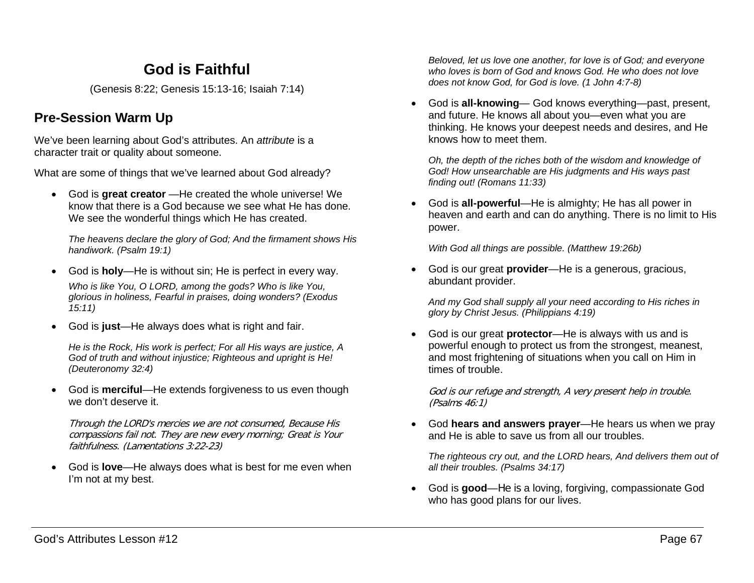# **God is Faithful**

(Genesis 8:22; Genesis 15:13-16; Isaiah 7:14)

## **Pre-Session Warm Up**

We've been learning about God's attributes. An *attribute* is a character trait or quality about someone.

What are some of things that we've learned about God already?

• God is **great creator** —He created the whole universe! We know that there is a God because we see what He has done. We see the wonderful things which He has created.

*The heavens declare the glory of God; And the firmament shows His handiwork. (Psalm 19:1)*

- God is **holy**—He is without sin; He is perfect in every way. *Who is like You, O LORD, among the gods? Who is like You, glorious in holiness, Fearful in praises, doing wonders? (Exodus 15:11)*
- God is **just**—He always does what is right and fair.

*He is the Rock, His work is perfect; For all His ways are justice, A God of truth and without injustice; Righteous and upright is He! (Deuteronomy 32:4)*

• God is **merciful**—He extends forgiveness to us even though we don't deserve it.

Through the LORD's mercies we are not consumed, Because His compassions fail not. They are new every morning; Great is Your faithfulness. (Lamentations 3:22-23)

• God is **love**—He always does what is best for me even when I'm not at my best.

*Beloved, let us love one another, for love is of God; and everyone who loves is born of God and knows God. He who does not love does not know God, for God is love. (1 John 4:7-8)*

• God is **all-knowing**— God knows everything—past, present, and future. He knows all about you—even what you are thinking. He knows your deepest needs and desires, and He knows how to meet them.

*Oh, the depth of the riches both of the wisdom and knowledge of God! How unsearchable are His judgments and His ways past finding out! (Romans 11:33)*

• God is **all-powerful**—He is almighty; He has all power in heaven and earth and can do anything. There is no limit to His power.

*With God all things are possible. (Matthew 19:26b)*

• God is our great **provider**—He is a generous, gracious, abundant provider.

*And my God shall supply all your need according to His riches in glory by Christ Jesus. (Philippians 4:19)*

• God is our great **protector**—He is always with us and is powerful enough to protect us from the strongest, meanest, and most frightening of situations when you call on Him in times of trouble.

God is our refuge and strength, A very present help in trouble. (Psalms 46:1)

• God **hears and answers prayer**—He hears us when we pray and He is able to save us from all our troubles.

*The righteous cry out, and the LORD hears, And delivers them out of all their troubles. (Psalms 34:17)*

• God is **good**—He is a loving, forgiving, compassionate God who has good plans for our lives.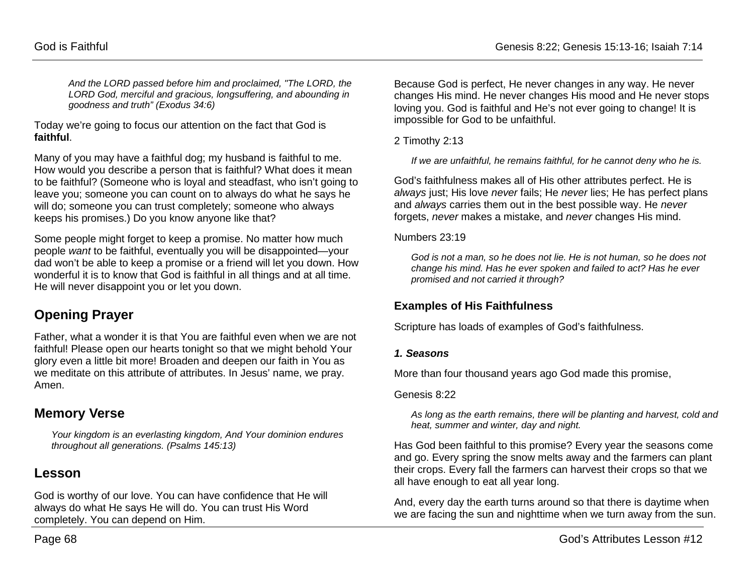*And the LORD passed before him and proclaimed, "The LORD, the LORD God, merciful and gracious, longsuffering, and abounding in goodness and truth" (Exodus 34:6)*

Today we're going to focus our attention on the fact that God is **faithful**.

Many of you may have a faithful dog; my husband is faithful to me. How would you describe a person that is faithful? What does it mean to be faithful? (Someone who is loyal and steadfast, who isn't going to leave you; someone you can count on to always do what he says he will do; someone you can trust completely; someone who always keeps his promises.) Do you know anyone like that?

Some people might forget to keep a promise. No matter how much people *want* to be faithful, eventually you will be disappointed—your dad won't be able to keep a promise or a friend will let you down. How wonderful it is to know that God is faithful in all things and at all time. He will never disappoint you or let you down.

## **Opening Prayer**

Father, what a wonder it is that You are faithful even when we are not faithful! Please open our hearts tonight so that we might behold Your glory even a little bit more! Broaden and deepen our faith in You as we meditate on this attribute of attributes. In Jesus' name, we pray. Amen.

### **Memory Verse**

*Your kingdom is an everlasting kingdom, And Your dominion endures throughout all generations. (Psalms 145:13)*

## **Lesson**

God is worthy of our love. You can have confidence that He will always do what He says He will do. You can trust His Word completely. You can depend on Him.

Because God is perfect, He never changes in any way. He never changes His mind. He never changes His mood and He never stops loving you. God is faithful and He's not ever going to change! It is impossible for God to be unfaithful.

2 Timothy 2:13

*If we are unfaithful, he remains faithful, for he cannot deny who he is.*

God's faithfulness makes all of His other attributes perfect. He is *always* just; His love *never* fails; He *never* lies; He has perfect plans and *always* carries them out in the best possible way. He *never* forgets, *never* makes a mistake, and *never* changes His mind.

#### Numbers 23:19

*God is not a man, so he does not lie. He is not human, so he does not change his mind. Has he ever spoken and failed to act? Has he ever promised and not carried it through?*

### **Examples of His Faithfulness**

Scripture has loads of examples of God's faithfulness.

#### *1. Seasons*

More than four thousand years ago God made this promise,

#### Genesis 8:22

*As long as the earth remains, there will be planting and harvest, cold and heat, summer and winter, day and night.*

Has God been faithful to this promise? Every year the seasons come and go. Every spring the snow melts away and the farmers can plant their crops. Every fall the farmers can harvest their crops so that we all have enough to eat all year long.

And, every day the earth turns around so that there is daytime when we are facing the sun and nighttime when we turn away from the sun.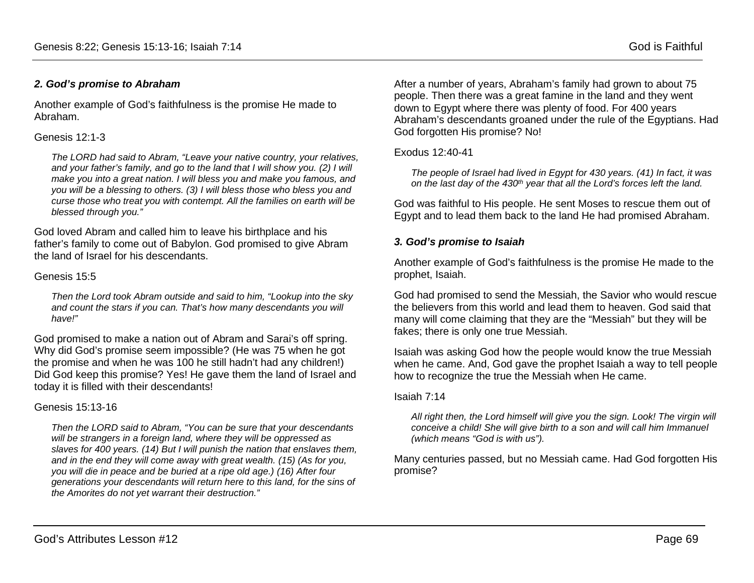#### *2. God's promise to Abraham*

Another example of God's faithfulness is the promise He made to Abraham.

#### Genesis 12:1-3

*The LORD had said to Abram, "Leave your native country, your relatives, and your father's family, and go to the land that I will show you. (2) I will make you into a great nation. I will bless you and make you famous, and you will be a blessing to others. (3) I will bless those who bless you and curse those who treat you with contempt. All the families on earth will be blessed through you."*

God loved Abram and called him to leave his birthplace and his father's family to come out of Babylon. God promised to give Abram the land of Israel for his descendants.

#### Genesis 15:5

*Then the Lord took Abram outside and said to him, "Lookup into the sky and count the stars if you can. That's how many descendants you will have!"*

God promised to make a nation out of Abram and Sarai's off spring. Why did God's promise seem impossible? (He was 75 when he got the promise and when he was 100 he still hadn't had any children!) Did God keep this promise? Yes! He gave them the land of Israel and today it is filled with their descendants!

#### Genesis 15:13-16

*Then the LORD said to Abram, "You can be sure that your descendants will be strangers in a foreign land, where they will be oppressed as slaves for 400 years. (14) But I will punish the nation that enslaves them, and in the end they will come away with great wealth. (15) (As for you, you will die in peace and be buried at a ripe old age.) (16) After four generations your descendants will return here to this land, for the sins of the Amorites do not yet warrant their destruction."*

After a number of years, Abraham's family had grown to about 75 people. Then there was a great famine in the land and they went down to Egypt where there was plenty of food. For 400 years Abraham's descendants groaned under the rule of the Egyptians. Had God forgotten His promise? No!

#### Exodus 12:40-41

*The people of Israel had lived in Egypt for 430 years. (41) In fact, it was on the last day of the 430th year that all the Lord's forces left the land.* 

God was faithful to His people. He sent Moses to rescue them out of Egypt and to lead them back to the land He had promised Abraham.

#### *3. God's promise to Isaiah*

Another example of God's faithfulness is the promise He made to the prophet, Isaiah.

God had promised to send the Messiah, the Savior who would rescue the believers from this world and lead them to heaven. God said that many will come claiming that they are the "Messiah" but they will be fakes; there is only one true Messiah.

Isaiah was asking God how the people would know the true Messiah when he came. And, God gave the prophet Isaiah a way to tell people how to recognize the true the Messiah when He came.

#### Isaiah 7:14

*All right then, the Lord himself will give you the sign. Look! The virgin will conceive a child! She will give birth to a son and will call him Immanuel (which means "God is with us").*

Many centuries passed, but no Messiah came. Had God forgotten His promise?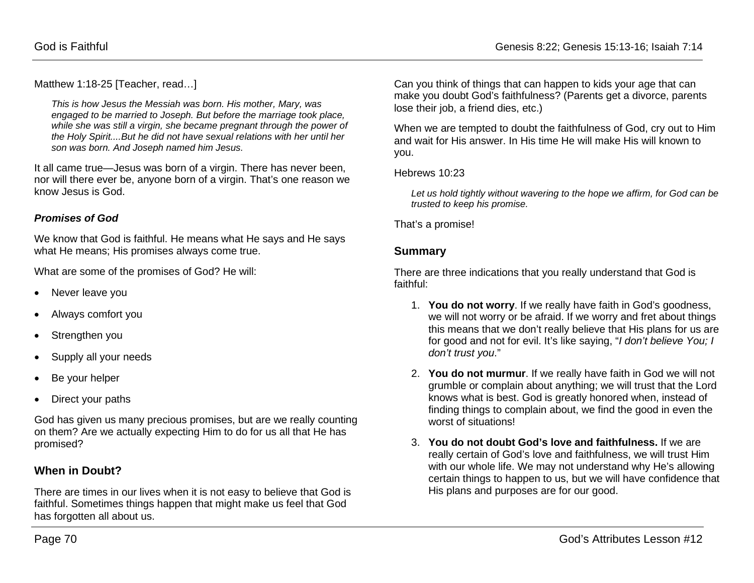Matthew 1:18-25 [Teacher, read...]

*This is how Jesus the Messiah was born. His mother, Mary, was engaged to be married to Joseph. But before the marriage took place, while she was still a virgin, she became pregnant through the power of the Holy Spirit....But he did not have sexual relations with her until her son was born. And Joseph named him Jesus.*

It all came true—Jesus was born of a virgin. There has never been, nor will there ever be, anyone born of a virgin. That's one reason we know Jesus is God.

#### *Promises of God*

We know that God is faithful. He means what He says and He says what He means; His promises always come true.

What are some of the promises of God? He will:

- Never leave you
- Always comfort you
- Strengthen you
- Supply all your needs
- Be your helper
- Direct your paths

God has given us many precious promises, but are we really counting on them? Are we actually expecting Him to do for us all that He has promised?

### **When in Doubt?**

There are times in our lives when it is not easy to believe that God is faithful. Sometimes things happen that might make us feel that God has forgotten all about us.

Can you think of things that can happen to kids your age that can make you doubt God's faithfulness? (Parents get a divorce, parents lose their job, a friend dies, etc.)

When we are tempted to doubt the faithfulness of God, cry out to Him and wait for His answer. In His time He will make His will known to you.

Hebrews 10:23

*Let us hold tightly without wavering to the hope we affirm, for God can be trusted to keep his promise.*

That's a promise!

### **Summary**

There are three indications that you really understand that God is faithful:

- 1. **You do not worry**. If we really have faith in God's goodness, we will not worry or be afraid. If we worry and fret about things this means that we don't really believe that His plans for us are for good and not for evil. It's like saying, "*I don't believe You; I don't trust you*."
- 2. **You do not murmur**. If we really have faith in God we will not grumble or complain about anything; we will trust that the Lord knows what is best. God is greatly honored when, instead of finding things to complain about, we find the good in even the worst of situations!
- 3. **You do not doubt God's love and faithfulness.** If we are really certain of God's love and faithfulness, we will trust Him with our whole life. We may not understand why He's allowing certain things to happen to us, but we will have confidence that His plans and purposes are for our good.